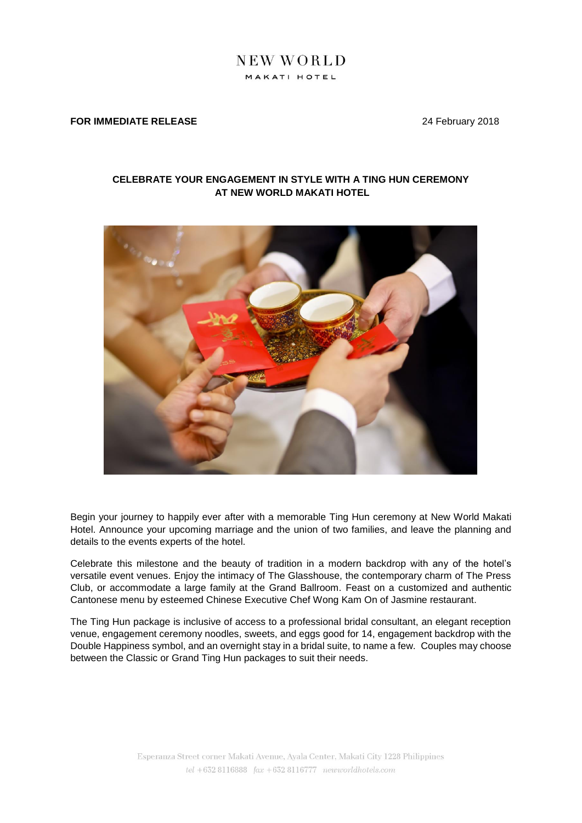# NEW WORLD MAKATI HOTEL

#### **FOR IMMEDIATE RELEASE 24 February 2018**

## **CELEBRATE YOUR ENGAGEMENT IN STYLE WITH A TING HUN CEREMONY AT NEW WORLD MAKATI HOTEL**



Begin your journey to happily ever after with a memorable Ting Hun ceremony at New World Makati Hotel. Announce your upcoming marriage and the union of two families, and leave the planning and details to the events experts of the hotel.

Celebrate this milestone and the beauty of tradition in a modern backdrop with any of the hotel's versatile event venues. Enjoy the intimacy of The Glasshouse, the contemporary charm of The Press Club, or accommodate a large family at the Grand Ballroom. Feast on a customized and authentic Cantonese menu by esteemed Chinese Executive Chef Wong Kam On of Jasmine restaurant.

The Ting Hun package is inclusive of access to a professional bridal consultant, an elegant reception venue, engagement ceremony noodles, sweets, and eggs good for 14, engagement backdrop with the Double Happiness symbol, and an overnight stay in a bridal suite, to name a few. Couples may choose between the Classic or Grand Ting Hun packages to suit their needs.